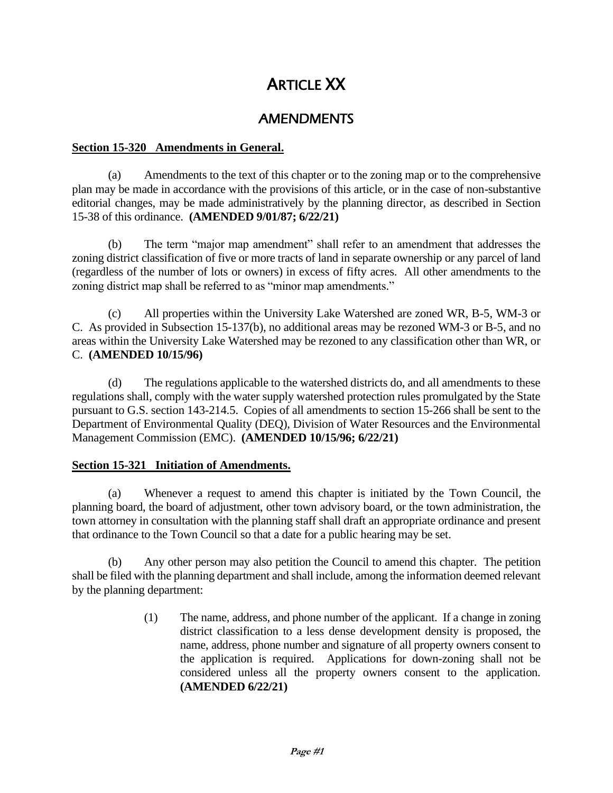# ARTICLE XX

## AMENDMENTS

## **Section 15-320 Amendments in General.**

(a) Amendments to the text of this chapter or to the zoning map or to the comprehensive plan may be made in accordance with the provisions of this article, or in the case of non-substantive editorial changes, may be made administratively by the planning director, as described in Section 15-38 of this ordinance. **(AMENDED 9/01/87; 6/22/21)**

(b) The term "major map amendment" shall refer to an amendment that addresses the zoning district classification of five or more tracts of land in separate ownership or any parcel of land (regardless of the number of lots or owners) in excess of fifty acres. All other amendments to the zoning district map shall be referred to as "minor map amendments."

(c) All properties within the University Lake Watershed are zoned WR, B-5, WM-3 or C. As provided in Subsection 15-137(b), no additional areas may be rezoned WM-3 or B-5, and no areas within the University Lake Watershed may be rezoned to any classification other than WR, or C. **(AMENDED 10/15/96)**

(d) The regulations applicable to the watershed districts do, and all amendments to these regulations shall, comply with the water supply watershed protection rules promulgated by the State pursuant to G.S. section 143-214.5. Copies of all amendments to section 15-266 shall be sent to the Department of Environmental Quality (DEQ), Division of Water Resources and the Environmental Management Commission (EMC). **(AMENDED 10/15/96; 6/22/21)**

## **Section 15-321 Initiation of Amendments.**

(a) Whenever a request to amend this chapter is initiated by the Town Council, the planning board, the board of adjustment, other town advisory board, or the town administration, the town attorney in consultation with the planning staff shall draft an appropriate ordinance and present that ordinance to the Town Council so that a date for a public hearing may be set.

(b) Any other person may also petition the Council to amend this chapter. The petition shall be filed with the planning department and shall include, among the information deemed relevant by the planning department:

> (1) The name, address, and phone number of the applicant. If a change in zoning district classification to a less dense development density is proposed, the name, address, phone number and signature of all property owners consent to the application is required. Applications for down-zoning shall not be considered unless all the property owners consent to the application. **(AMENDED 6/22/21)**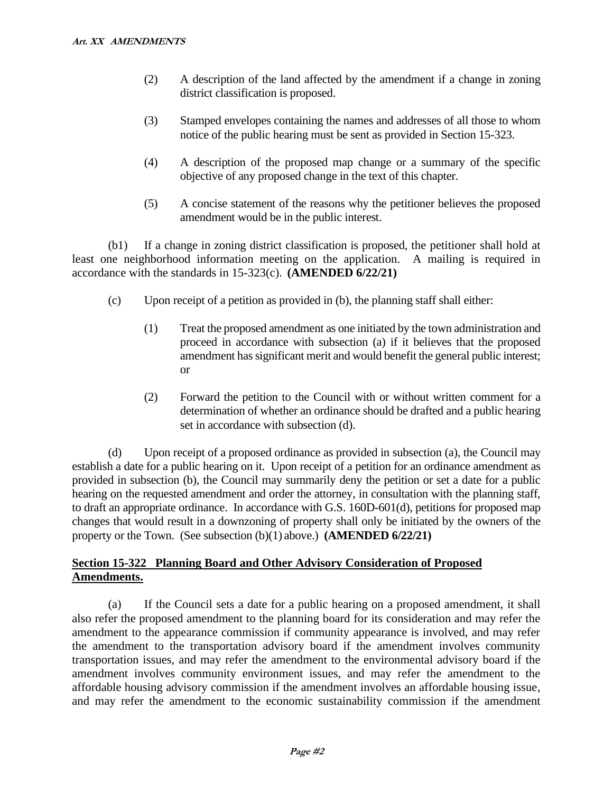- (2) A description of the land affected by the amendment if a change in zoning district classification is proposed.
- (3) Stamped envelopes containing the names and addresses of all those to whom notice of the public hearing must be sent as provided in Section 15-323.
- (4) A description of the proposed map change or a summary of the specific objective of any proposed change in the text of this chapter.
- (5) A concise statement of the reasons why the petitioner believes the proposed amendment would be in the public interest.

(b1) If a change in zoning district classification is proposed, the petitioner shall hold at least one neighborhood information meeting on the application. A mailing is required in accordance with the standards in 15-323(c). **(AMENDED 6/22/21)**

- (c) Upon receipt of a petition as provided in (b), the planning staff shall either:
	- (1) Treat the proposed amendment as one initiated by the town administration and proceed in accordance with subsection (a) if it believes that the proposed amendment has significant merit and would benefit the general public interest; or
	- (2) Forward the petition to the Council with or without written comment for a determination of whether an ordinance should be drafted and a public hearing set in accordance with subsection (d).

(d) Upon receipt of a proposed ordinance as provided in subsection (a), the Council may establish a date for a public hearing on it. Upon receipt of a petition for an ordinance amendment as provided in subsection (b), the Council may summarily deny the petition or set a date for a public hearing on the requested amendment and order the attorney, in consultation with the planning staff, to draft an appropriate ordinance. In accordance with G.S. 160D-601(d), petitions for proposed map changes that would result in a downzoning of property shall only be initiated by the owners of the property or the Town. (See subsection (b)(1) above.) **(AMENDED 6/22/21)**

## **Section 15-322 Planning Board and Other Advisory Consideration of Proposed Amendments.**

(a) If the Council sets a date for a public hearing on a proposed amendment, it shall also refer the proposed amendment to the planning board for its consideration and may refer the amendment to the appearance commission if community appearance is involved, and may refer the amendment to the transportation advisory board if the amendment involves community transportation issues, and may refer the amendment to the environmental advisory board if the amendment involves community environment issues, and may refer the amendment to the affordable housing advisory commission if the amendment involves an affordable housing issue, and may refer the amendment to the economic sustainability commission if the amendment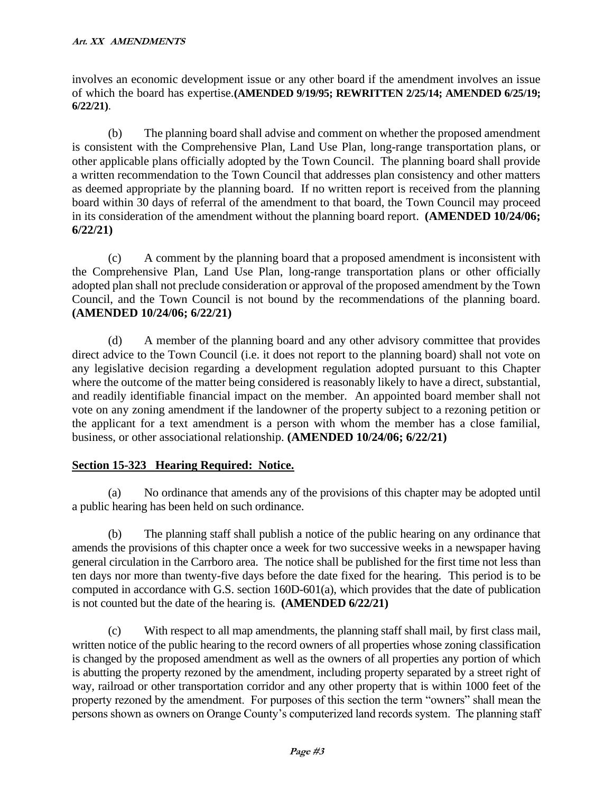involves an economic development issue or any other board if the amendment involves an issue of which the board has expertise.**(AMENDED 9/19/95; REWRITTEN 2/25/14; AMENDED 6/25/19; 6/22/21)**.

(b) The planning board shall advise and comment on whether the proposed amendment is consistent with the Comprehensive Plan, Land Use Plan, long-range transportation plans, or other applicable plans officially adopted by the Town Council. The planning board shall provide a written recommendation to the Town Council that addresses plan consistency and other matters as deemed appropriate by the planning board. If no written report is received from the planning board within 30 days of referral of the amendment to that board, the Town Council may proceed in its consideration of the amendment without the planning board report. **(AMENDED 10/24/06; 6/22/21)**

(c) A comment by the planning board that a proposed amendment is inconsistent with the Comprehensive Plan, Land Use Plan, long-range transportation plans or other officially adopted plan shall not preclude consideration or approval of the proposed amendment by the Town Council, and the Town Council is not bound by the recommendations of the planning board. **(AMENDED 10/24/06; 6/22/21)**

(d) A member of the planning board and any other advisory committee that provides direct advice to the Town Council (i.e. it does not report to the planning board) shall not vote on any legislative decision regarding a development regulation adopted pursuant to this Chapter where the outcome of the matter being considered is reasonably likely to have a direct, substantial, and readily identifiable financial impact on the member. An appointed board member shall not vote on any zoning amendment if the landowner of the property subject to a rezoning petition or the applicant for a text amendment is a person with whom the member has a close familial, business, or other associational relationship. **(AMENDED 10/24/06; 6/22/21)**

## **Section 15-323 Hearing Required: Notice.**

(a) No ordinance that amends any of the provisions of this chapter may be adopted until a public hearing has been held on such ordinance.

(b) The planning staff shall publish a notice of the public hearing on any ordinance that amends the provisions of this chapter once a week for two successive weeks in a newspaper having general circulation in the Carrboro area. The notice shall be published for the first time not less than ten days nor more than twenty-five days before the date fixed for the hearing. This period is to be computed in accordance with G.S. section 160D-601(a), which provides that the date of publication is not counted but the date of the hearing is. **(AMENDED 6/22/21)**

(c) With respect to all map amendments, the planning staff shall mail, by first class mail, written notice of the public hearing to the record owners of all properties whose zoning classification is changed by the proposed amendment as well as the owners of all properties any portion of which is abutting the property rezoned by the amendment, including property separated by a street right of way, railroad or other transportation corridor and any other property that is within 1000 feet of the property rezoned by the amendment. For purposes of this section the term "owners" shall mean the persons shown as owners on Orange County's computerized land records system. The planning staff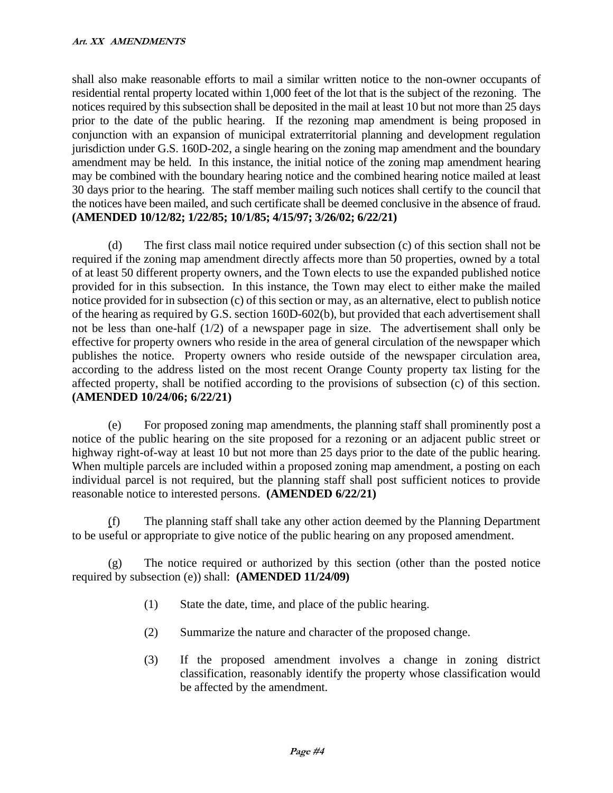shall also make reasonable efforts to mail a similar written notice to the non-owner occupants of residential rental property located within 1,000 feet of the lot that is the subject of the rezoning. The notices required by this subsection shall be deposited in the mail at least 10 but not more than 25 days prior to the date of the public hearing. If the rezoning map amendment is being proposed in conjunction with an expansion of municipal extraterritorial planning and development regulation jurisdiction under G.S. 160D-202, a single hearing on the zoning map amendment and the boundary amendment may be held. In this instance, the initial notice of the zoning map amendment hearing may be combined with the boundary hearing notice and the combined hearing notice mailed at least 30 days prior to the hearing. The staff member mailing such notices shall certify to the council that the notices have been mailed, and such certificate shall be deemed conclusive in the absence of fraud. **(AMENDED 10/12/82; 1/22/85; 10/1/85; 4/15/97; 3/26/02; 6/22/21)**

(d) The first class mail notice required under subsection (c) of this section shall not be required if the zoning map amendment directly affects more than 50 properties, owned by a total of at least 50 different property owners, and the Town elects to use the expanded published notice provided for in this subsection. In this instance, the Town may elect to either make the mailed notice provided for in subsection (c) of this section or may, as an alternative, elect to publish notice of the hearing as required by G.S. section 160D-602(b), but provided that each advertisement shall not be less than one-half (1/2) of a newspaper page in size. The advertisement shall only be effective for property owners who reside in the area of general circulation of the newspaper which publishes the notice. Property owners who reside outside of the newspaper circulation area, according to the address listed on the most recent Orange County property tax listing for the affected property, shall be notified according to the provisions of subsection (c) of this section. **(AMENDED 10/24/06; 6/22/21)**

(e) For proposed zoning map amendments, the planning staff shall prominently post a notice of the public hearing on the site proposed for a rezoning or an adjacent public street or highway right-of-way at least 10 but not more than 25 days prior to the date of the public hearing. When multiple parcels are included within a proposed zoning map amendment, a posting on each individual parcel is not required, but the planning staff shall post sufficient notices to provide reasonable notice to interested persons. **(AMENDED 6/22/21)**

(f) The planning staff shall take any other action deemed by the Planning Department to be useful or appropriate to give notice of the public hearing on any proposed amendment.

(g) The notice required or authorized by this section (other than the posted notice required by subsection (e)) shall: **(AMENDED 11/24/09)**

- (1) State the date, time, and place of the public hearing.
- (2) Summarize the nature and character of the proposed change.
- (3) If the proposed amendment involves a change in zoning district classification, reasonably identify the property whose classification would be affected by the amendment.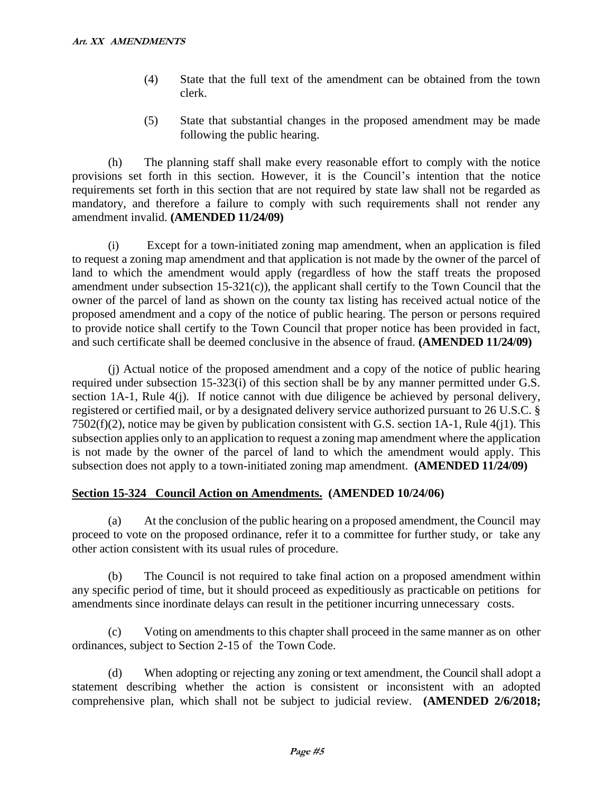- (4) State that the full text of the amendment can be obtained from the town clerk.
- (5) State that substantial changes in the proposed amendment may be made following the public hearing.

(h) The planning staff shall make every reasonable effort to comply with the notice provisions set forth in this section. However, it is the Council's intention that the notice requirements set forth in this section that are not required by state law shall not be regarded as mandatory, and therefore a failure to comply with such requirements shall not render any amendment invalid. **(AMENDED 11/24/09)**

(i) Except for a town-initiated zoning map amendment, when an application is filed to request a zoning map amendment and that application is not made by the owner of the parcel of land to which the amendment would apply (regardless of how the staff treats the proposed amendment under subsection 15-321(c)), the applicant shall certify to the Town Council that the owner of the parcel of land as shown on the county tax listing has received actual notice of the proposed amendment and a copy of the notice of public hearing. The person or persons required to provide notice shall certify to the Town Council that proper notice has been provided in fact, and such certificate shall be deemed conclusive in the absence of fraud. **(AMENDED 11/24/09)**

(j) Actual notice of the proposed amendment and a copy of the notice of public hearing required under subsection 15-323(i) of this section shall be by any manner permitted under G.S. section 1A-1, Rule 4(j). If notice cannot with due diligence be achieved by personal delivery, registered or certified mail, or by a designated delivery service authorized pursuant to 26 U.S.C. § 7502(f)(2), notice may be given by publication consistent with G.S. section 1A-1, Rule 4(j1). This subsection applies only to an application to request a zoning map amendment where the application is not made by the owner of the parcel of land to which the amendment would apply. This subsection does not apply to a town-initiated zoning map amendment. **(AMENDED 11/24/09)**

## **Section 15-324 Council Action on Amendments. (AMENDED 10/24/06)**

(a) At the conclusion of the public hearing on a proposed amendment, the Council may proceed to vote on the proposed ordinance, refer it to a committee for further study, or take any other action consistent with its usual rules of procedure.

(b) The Council is not required to take final action on a proposed amendment within any specific period of time, but it should proceed as expeditiously as practicable on petitions for amendments since inordinate delays can result in the petitioner incurring unnecessary costs.

(c) Voting on amendments to this chapter shall proceed in the same manner as on other ordinances, subject to Section 2-15 of the Town Code.

(d) When adopting or rejecting any zoning or text amendment, the Council shall adopt a statement describing whether the action is consistent or inconsistent with an adopted comprehensive plan, which shall not be subject to judicial review. **(AMENDED 2/6/2018;**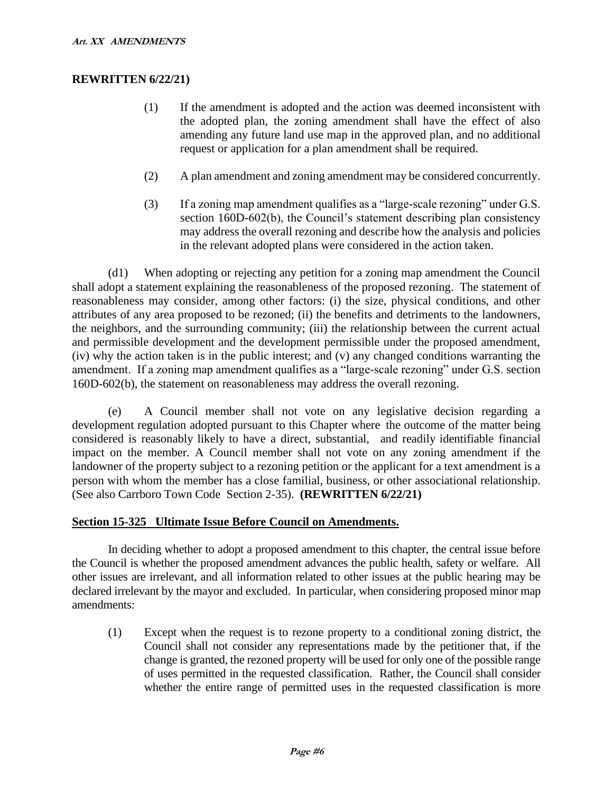## **REWRITTEN 6/22/21)**

- (1) If the amendment is adopted and the action was deemed inconsistent with the adopted plan, the zoning amendment shall have the effect of also amending any future land use map in the approved plan, and no additional request or application for a plan amendment shall be required.
- (2) A plan amendment and zoning amendment may be considered concurrently.
- (3) If a zoning map amendment qualifies as a "large-scale rezoning" under G.S. section 160D-602(b), the Council's statement describing plan consistency may address the overall rezoning and describe how the analysis and policies in the relevant adopted plans were considered in the action taken.

(d1) When adopting or rejecting any petition for a zoning map amendment the Council shall adopt a statement explaining the reasonableness of the proposed rezoning. The statement of reasonableness may consider, among other factors: (i) the size, physical conditions, and other attributes of any area proposed to be rezoned; (ii) the benefits and detriments to the landowners, the neighbors, and the surrounding community; (iii) the relationship between the current actual and permissible development and the development permissible under the proposed amendment, (iv) why the action taken is in the public interest; and (v) any changed conditions warranting the amendment. If a zoning map amendment qualifies as a "large-scale rezoning" under G.S. section 160D-602(b), the statement on reasonableness may address the overall rezoning.

(e) A Council member shall not vote on any legislative decision regarding a development regulation adopted pursuant to this Chapter where the outcome of the matter being considered is reasonably likely to have a direct, substantial, and readily identifiable financial impact on the member. A Council member shall not vote on any zoning amendment if the landowner of the property subject to a rezoning petition or the applicant for a text amendment is a person with whom the member has a close familial, business, or other associational relationship. (See also Carrboro Town Code Section 2-35). **(REWRITTEN 6/22/21)**

### **Section 15-325 Ultimate Issue Before Council on Amendments.**

In deciding whether to adopt a proposed amendment to this chapter, the central issue before the Council is whether the proposed amendment advances the public health, safety or welfare. All other issues are irrelevant, and all information related to other issues at the public hearing may be declared irrelevant by the mayor and excluded. In particular, when considering proposed minor map amendments:

(1) Except when the request is to rezone property to a conditional zoning district, the Council shall not consider any representations made by the petitioner that, if the change is granted, the rezoned property will be used for only one of the possible range of uses permitted in the requested classification. Rather, the Council shall consider whether the entire range of permitted uses in the requested classification is more